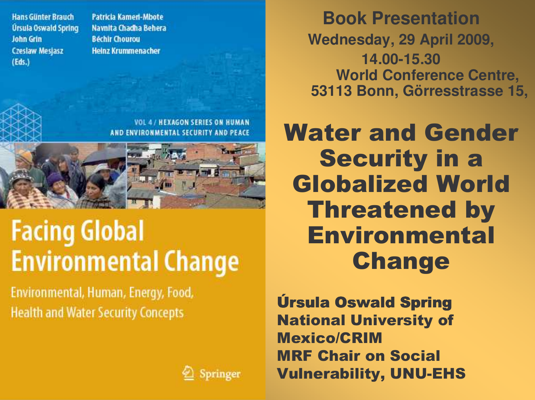**Hans Günter Brauch** Úrsula Oswald Spring **John Grin Czesław Mesjasz**  $(Eds.)$ 

**Patricia Kameri-Mbote** Navnita Chadha Behera **Béchir Chourou Heinz Krummenacher** 

**Book Presentation** Wednesday, 29 April 2009, 14.00-15.30 **World Conference Centre,** 53113 Bonn, Görresstrasse 15,

**Water and Gender Security in a Globalized World Threatened by Environmental Change** 

**Úrsula Oswald Spring National University of Mexico/CRIM MRF Chair on Social Vulnerability, UNU-EHS** 

**VOL 4/ HEXAGON SERIES ON HUMAN** AND ENVIRONMENTAL SECURITY AND PEACE

### **Facing Global Environmental Change**

Environmental, Human, Energy, Food, **Health and Water Security Concepts** 

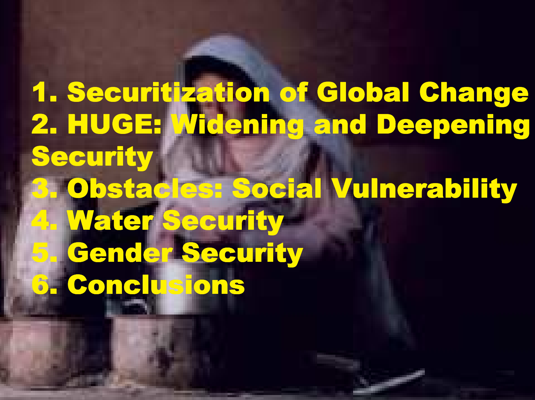1. Securitization of Global Change 2. HUGE: Widening and Deepening **Security 3. Obstacles: Social Vulnerability 4. Water Security Gender Security** 6. Conclusions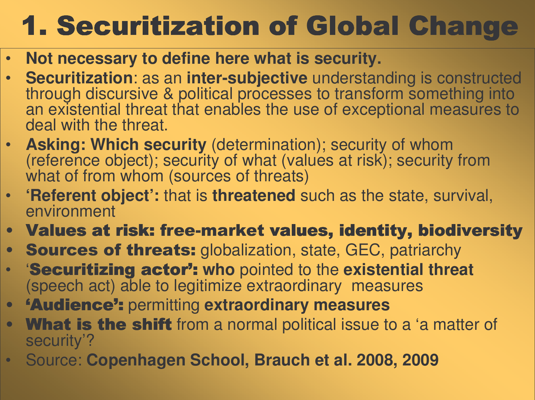# 1. Securitization of Global Change

- •Not necessary to define here what is security.
- Securitization: as an inter-subjective understanding is constructed through discursive & political processes to transform something into an existential threat that enables the use of exceptional measures to deal with the threat.
- Asking: Which security (determination); security of whom (reference object); security of what (values at risk); security from what of from whom (sources of threats)
- 'Referent object': that is threatened such as the state, survival, environment
- Values at risk: free-market values, identity, biodiversity
- $\bullet$ Sources of threats: globalization, state, GEC, patriarchy
- Securitizing actor 7**<sup>***n***</sup></del><b>:** who pointed to the existential threat (speech act) able to legitimize extraordinary measures
- $\bullet$ 8'Audience 7**<sup>***n***</sup><sub><b>n**</sub> containt **measures**
- $\bullet$ **What is the shift** from a normal political issue to a 'a matter of security'?
- · Source: Copenhagen School, Brauch et al. 2008, 2009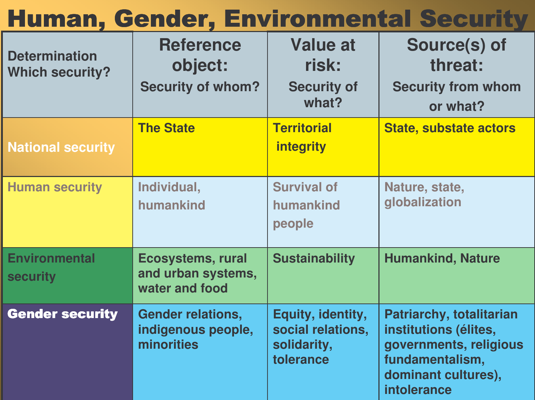#### <u>Human, Gender, Environmental Security</u>

| <b>Determination</b><br><b>Which security?</b> | <b>Reference</b><br>object:<br><b>Security of whom?</b>          | Value at<br>risk:<br><b>Security of</b><br>what?                   | Source(s) of<br>threat:<br><b>Security from whom</b><br>or what?                                                                     |
|------------------------------------------------|------------------------------------------------------------------|--------------------------------------------------------------------|--------------------------------------------------------------------------------------------------------------------------------------|
| <b>National security</b>                       | <b>The State</b>                                                 | <b>Territorial</b><br><i>integrity</i>                             | <b>State, substate actors</b>                                                                                                        |
| <b>Human security</b>                          | Individual,<br>humankind                                         | <b>Survival of</b><br>humankind<br>people                          | Nature, state,<br>globalization                                                                                                      |
| <b>Environmental</b><br><b>security</b>        | <b>Ecosystems, rural</b><br>and urban systems,<br>water and food | <b>Sustainability</b>                                              | <b>Humankind, Nature</b>                                                                                                             |
| <b>Gender security</b>                         | <b>Gender relations,</b><br>indigenous people,<br>minorities     | Equity, identity,<br>social relations,<br>solidarity,<br>tolerance | Patriarchy, totalitarian<br>institutions (élites,<br>governments, religious<br>fundamentalism,<br>dominant cultures),<br>intolerance |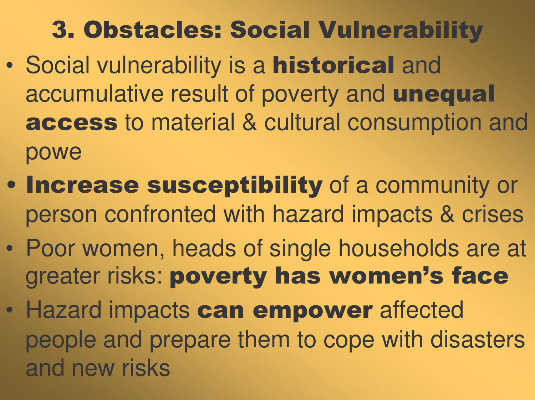#### 3. Obstacles: Social Vulnerability

- $\bullet$ • Social vulnerability is a **historical** and accumulative result of poverty and **unequal** access to material & cultural consumption and powe
- . Increase susceptibility of a community or person confronted with hazard impacts & crises
- $\bullet$  Poor women, heads of single households are at greater risks: poverty has women's face
- $\bullet$ • Hazard impacts can empower affected people and prepare them to cope with disasters and new risks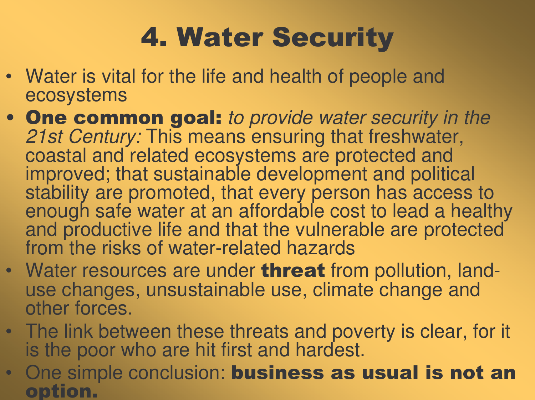# **4. Water Security**

- Water is vital for the life and health of people and ecosystems
- One common goal: to provide water security in the 21st Century: This means ensuring that freshwater, coastal and related ecosystems are protected and improved; that sustainable development and political stability are promoted, that every person has access to enough safe water at an affordable cost to lead a healthy and productive life and that the vulnerable are protected from the risks of water-related hazards
- Water resources are under **threat** from pollution, landuse changes, unsustainable use, climate change and other forces.
- The link between these threats and poverty is clear, for it is the poor who are hit first and hardest.
- One simple conclusion: **business as usual is not an** option.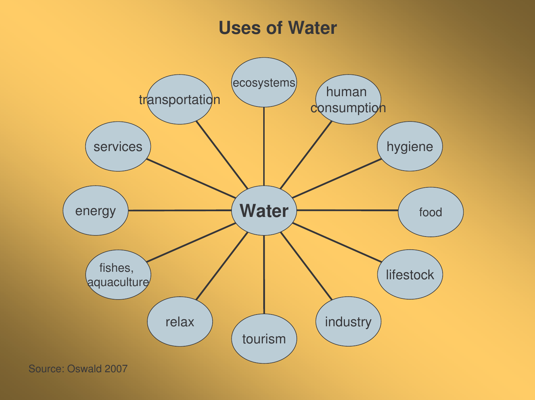#### **Uses of Water**

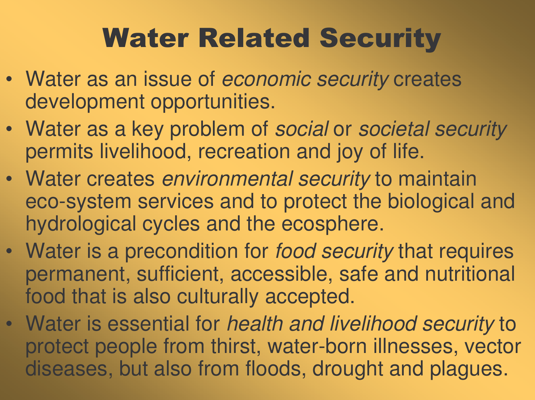# **Water Related Security**

- Water as an issue of *economic security* creates development opportunities.
- Water as <sup>a</sup> key problem of *social* or *societal security* permits livelihood, recreation and joy of life.
- Water creates *environmental security* to maintain eco-system services and to protect the biological and hydrological cycles and the ecosphere.
- Water is <sup>a</sup> precondition for *food security* that requires permanent, sufficient, accessible, safe and nutritional food that is also culturally accepted.
- Water is essential for *health and livelihood security* to protect people from thirst, water-born illnesses, vector diseases, but also from floods, drought and plagues.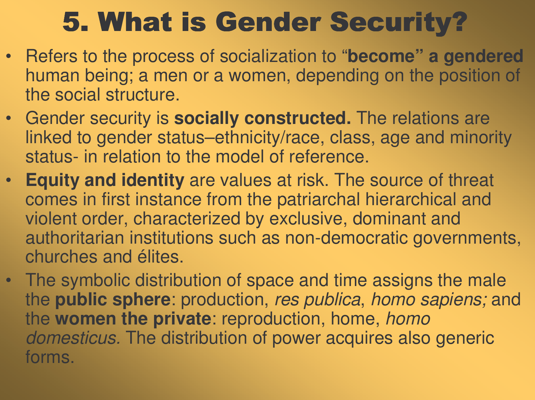## 5. What is Gender Security?

- Refers to the process of socialization to "**become" <sup>a</sup> gendered** human being; <sup>a</sup> men or <sup>a</sup> women, depending on the position of the social structure.
- Gender security is **socially constructed.** The relations are linked to gender status–ethnicity/race, class, age and minority status- in relation to the model of reference.
- $\bullet$  **Equity and identity** are values at risk. The source of threat comes in first instance from the patriarchal hierarchical and violent order, characterized by exclusive, dominant and authoritarian institutions such as non-democratic governments, churches and élites.
- The symbolic distribution of space and time assigns the male the **public sphere**: production, *res publica*, *homo sapiens;* and the **women the private**: reproduction, home, *homo domesticus.* The distribution of power acquires also generic forms.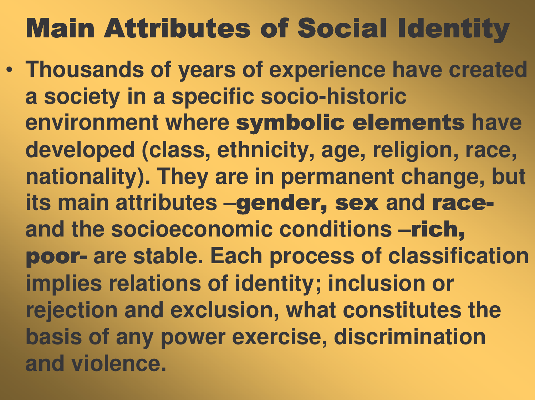## **Main Attributes of Social Identity**

• Thousands of years of experience have created a society in a specific socio-historic environment where symbolic elements have developed (class, ethnicity, age, religion, race, nationality). They are in permanent change, but its main attributes -gender, sex and raceand the socioeconomic conditions -rich, poor- are stable. Each process of classification implies relations of identity; inclusion or rejection and exclusion, what constitutes the basis of any power exercise, discrimination and violence.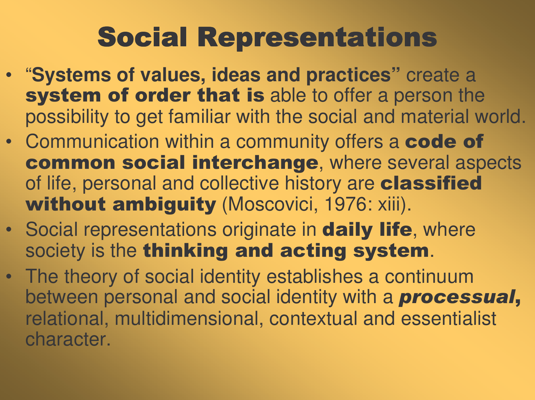# **Social Representations**

- ""Systems of values, ideas and practices" " create a system of order that is able to offer a person the possibility to get familiar with the social and material world.
- Communication within a community offers a code of common social interchange, where several aspects of life, personal and collective history are **classified** without ambiguity (Moscovici, 1976: xiii).
- Social representations originate in **daily life**, where society is the thinking and acting system.
- The theory of social identity establishes a continuum between personal and social identity with a **processual,** relational, multidimensional, contextual and essentialist character.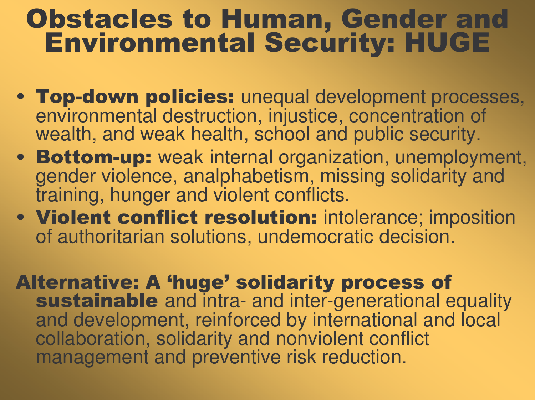#### **Obstacles to Human, Gender and** Environmental Security: HUGE

- Top-down policies: unequal development processes, environmental destruction, injustice, concentration of wealth, and weak health, school and public security.
- Bottom-up: weak internal organization, unemployment, gender violence, analphabetism, missing solidarity and training, hunger and violent conflicts.
- Violent conflict resolution: intolerance; imposition of authoritarian solutions, undemocratic decision.

Alternative: A 'huge' solidarity process of sustainable and intra- and inter-generational equality and development, reinforced by international and local collaboration, solidarity and nonviolent conflict management and preventive risk reduction.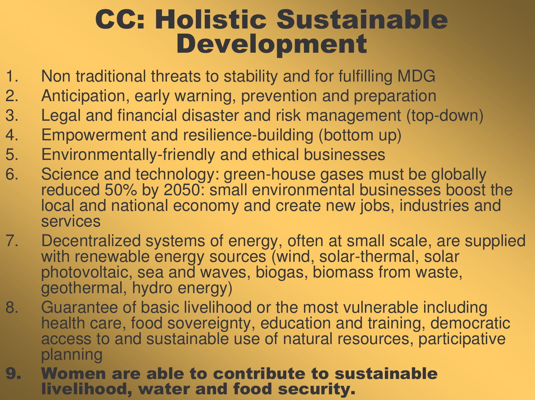#### **CC: Holistic Sustainable Development**

- 1.. Non traditional threats to stability and for fulfilling MDG
- 2.. Anticipation, early warning, prevention and preparation
- $3.$ Legal and financial disaster and risk management (top-down)
- 4.. Empowerment and resilience-building (bottom up)
- 5. EEnvironmentally -friendly and ethical businesses
- $6.$ Science and technology: green-house gases must be globally reduced 50% by 2050: small environmental businesses boost the local and national economy and create new jobs, industries and services
- 7.. Decentralized systems of energy, often at small scale, are supplied with renewable energy sources (wind, solar-thermal, solar photovoltaic, sea and waves, biogas, biomass from waste, geothermal, hydro energy)
- $8<sub>l</sub>$ Guarantee of basic livelihood or the most vulnerable including health care, food sovereignty, education and training, democratic access to and sustainable use of natural resources, participative planning
- 9. Women are able to contribute to sustainable livelihood, water and food security.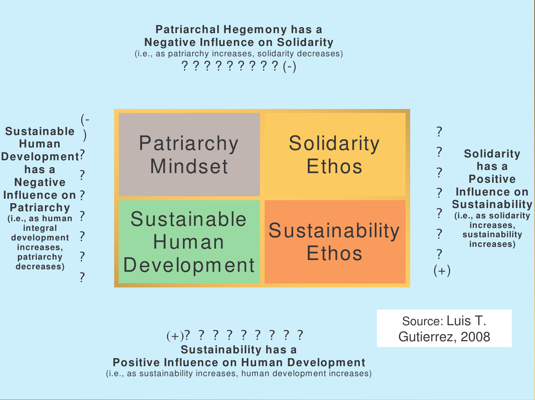#### **Patriarchal Hegemony has <sup>a</sup> Negative Influence on Solidarity** (i.e., as patriarchy increases, solidarity decreases)

? ? ? ? ? ? ? ? ? (-)

| <b>Sustainable</b><br>Human<br>Development?<br>has a<br><b>Negative</b><br>Influence on?<br><b>Patriarchy</b><br>(i.e., as human<br>integral<br>development<br>increases,<br>patriarchy<br>decreases) | Patriarchy<br><b>Mindset</b>        | Solidarity<br><b>Ethos</b>     | <b>Solidarity</b><br>has a<br><b>Positive</b><br>Influence on<br><b>Sustainability</b><br>(i.e., as solidarity<br>increases,<br>sustainability<br>increases)<br>$(+)$ |
|-------------------------------------------------------------------------------------------------------------------------------------------------------------------------------------------------------|-------------------------------------|--------------------------------|-----------------------------------------------------------------------------------------------------------------------------------------------------------------------|
|                                                                                                                                                                                                       | Sustainable<br>Human<br>Development | Sustainability<br><b>Ethos</b> |                                                                                                                                                                       |

(+)? ? ? ? ? ? ? ? ? **Sustainability has <sup>a</sup> Positive Influence on Human Development** (i.e., as sustainability increases, human development increases)

Source: Luis T. Gutierrez, 2008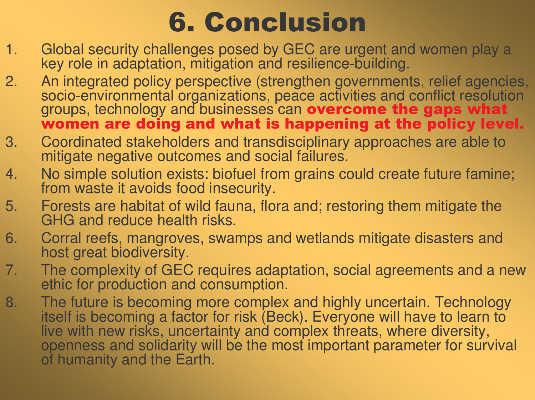### **6. Conclusion**

- 1.. Global security challenges posed by GEC are urgent and women play a key role in adaptation, mitigation and resilience-building.
- 2.. An integrated policy perspective (strengthen governments, relief agencies, socio-environmental organizations, peace activities and conflict resolution groups, technology and businesses can overcome the gaps what women are doing and what is happening at the policy level.
- $3.$ Coordinated stakeholders and transdisciplinary approaches are able to mitigate negative outcomes and social failures.
- 4.. No simple solution exists: biofuel from grains could create future famine; from waste it avoids food insecurity.
- $5.$ Forests are habitat of wild fauna, flora and; restoring them mitigate the GHG and reduce health risks.
- $6.$ Corral reefs, mangroves, swamps and wetlands mitigate disasters and host great biodiversity.
- 7.. The complexity of GEC requires adaptation, social agreements and a new ethic for production and consumption.
- $8.$ The future is becoming more complex and highly uncertain. Technology itself is becoming a factor for risk (Beck). Everyone will have to learn to live with new risks, uncertainty and complex threats, where diversity, openness and solidarity will be the most important parameter for survival of humanity and the Earth.